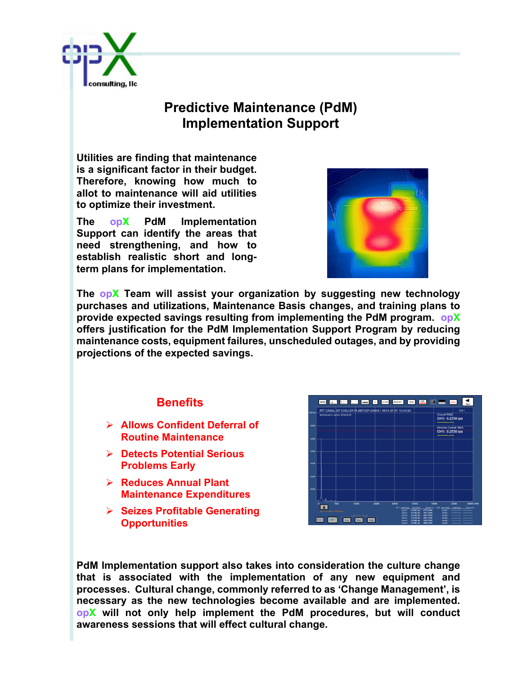

## **Predictive Maintenance (PdM) Implementation Support**

**Utilities are finding that maintenance is a significant factor in their budget. Therefore, knowing how much to allot to maintenance will aid utilities to optimize their investment.** 

**The opX PdM Implementation Support can identify the areas that need strengthening, and how to establish realistic short and longterm plans for implementation.**



**The opX Team will assist your organization by suggesting new technology purchases and utilizations, Maintenance Basis changes, and training plans to provide expected savings resulting from implementing the PdM program. opX offers justification for the PdM Implementation Support Program by reducing maintenance costs, equipment failures, unscheduled outages, and by providing projections of the expected savings.**

## **Benefits**

- Ø **Allows Confident Deferral of Routine Maintenance**
- Ø **Detects Potential Serious Problems Early**
- Ø **Reduces Annual Plant Maintenance Expenditures**
- Ø **Seizes Profitable Generating Opportunities**

|          |                                                                                                                       | RPM   K   H   H   W   NOW   REPORT |                 |       |                                           | TEXT <sup>0.25</sup> 0 = 0 cwcm                                            |                                   |                                               |
|----------|-----------------------------------------------------------------------------------------------------------------------|------------------------------------|-----------------|-------|-------------------------------------------|----------------------------------------------------------------------------|-----------------------------------|-----------------------------------------------|
| 0.35 kps | ATT CANAL ST CHILLER PLANT/CP-3/M1A / 2014-07-21 12:14:34<br>CH:1<br><b>Overall RMS</b><br>Technician's name: EFNOLTE |                                    |                 |       |                                           |                                                                            |                                   |                                               |
|          |                                                                                                                       |                                    |                 |       |                                           |                                                                            | CH1: 0.2730 ips<br>-------------  |                                               |
| 0.300    |                                                                                                                       |                                    |                 |       |                                           |                                                                            | Window Overall RMS                |                                               |
|          |                                                                                                                       |                                    |                 |       |                                           |                                                                            | CH1: 0.2730 ips<br>-------------  |                                               |
| 0.250    |                                                                                                                       |                                    |                 |       |                                           |                                                                            |                                   |                                               |
| 0.200    |                                                                                                                       |                                    |                 |       |                                           |                                                                            |                                   |                                               |
|          |                                                                                                                       |                                    |                 |       |                                           |                                                                            |                                   |                                               |
| 0.150    |                                                                                                                       |                                    |                 |       |                                           |                                                                            |                                   |                                               |
|          |                                                                                                                       |                                    |                 |       |                                           |                                                                            |                                   |                                               |
| 0.100    |                                                                                                                       |                                    |                 |       |                                           |                                                                            |                                   |                                               |
| 0.050    |                                                                                                                       |                                    |                 |       |                                           |                                                                            |                                   |                                               |
|          |                                                                                                                       |                                    |                 |       |                                           |                                                                            |                                   |                                               |
|          | $\bullet$                                                                                                             | 7500                               | 15000           | 22500 | 30000<br>CHI: High Pask                   | 37500<br>Ampitude                                                          | 45000<br>Frequency CH2: High Peak | 52500<br>60000 CPM<br>Arreitaase<br>Frequency |
|          | Zero is tooked / AutoScale                                                                                            |                                    | Frequency Range |       | peak <sup>t</sup><br>$n * a < 2$<br>peak3 | 0.2647 los<br>1775 CPM<br>0.0185 lps<br>1614 CPM<br>0.0183 ips<br>1937 CPM | peak1:<br>people2:<br>people3:    | ------- ----                                  |
|          | <b>SCALE</b>                                                                                                          | Low                                | Med<br>High     |       | peak4:<br>peaks                           | 0.0138 ips<br>3551 CPM<br>0.0088 ips<br>1453 CPM                           | people do<br>people's:            | ---------------<br><b>COMMONS</b>             |

**PdM Implementation support also takes into consideration the culture change that is associated with the implementation of any new equipment and processes. Cultural change, commonly referred to as 'Change Management', is necessary as the new technologies become available and are implemented. opX will not only help implement the PdM procedures, but will conduct awareness sessions that will effect cultural change.**